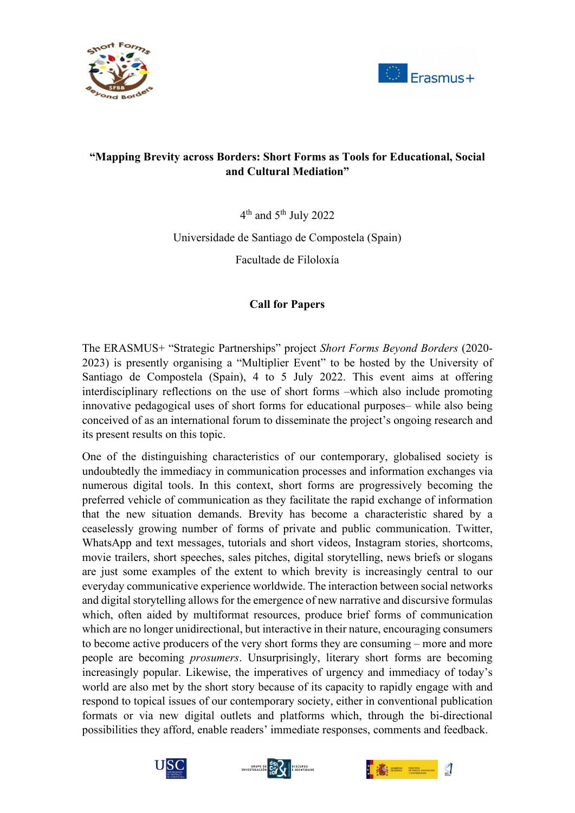



## **"Mapping Brevity across Borders: Short Forms as Tools for Educational, Social and Cultural Mediation"**

4<sup>th</sup> and 5<sup>th</sup> July 2022

Universidade de Santiago de Compostela (Spain)

Facultade de Filoloxía

## **Call for Papers**

The ERASMUS+ "Strategic Partnerships" project *Short Forms Beyond Borders* (2020- 2023) is presently organising a "Multiplier Event" to be hosted by the University of Santiago de Compostela (Spain), 4 to 5 July 2022. This event aims at offering interdisciplinary reflections on the use of short forms –which also include promoting innovative pedagogical uses of short forms for educational purposes– while also being conceived of as an international forum to disseminate the project's ongoing research and its present results on this topic.

One of the distinguishing characteristics of our contemporary, globalised society is undoubtedly the immediacy in communication processes and information exchanges via numerous digital tools. In this context, short forms are progressively becoming the preferred vehicle of communication as they facilitate the rapid exchange of information that the new situation demands. Brevity has become a characteristic shared by a ceaselessly growing number of forms of private and public communication. Twitter, WhatsApp and text messages, tutorials and short videos, Instagram stories, shortcoms, movie trailers, short speeches, sales pitches, digital storytelling, news briefs or slogans are just some examples of the extent to which brevity is increasingly central to our everyday communicative experience worldwide. The interaction between social networks and digital storytelling allows for the emergence of new narrative and discursive formulas which, often aided by multiformat resources, produce brief forms of communication which are no longer unidirectional, but interactive in their nature, encouraging consumers to become active producers of the very short forms they are consuming – more and more people are becoming *prosumers*. Unsurprisingly, literary short forms are becoming increasingly popular. Likewise, the imperatives of urgency and immediacy of today's world are also met by the short story because of its capacity to rapidly engage with and respond to topical issues of our contemporary society, either in conventional publication formats or via new digital outlets and platforms which, through the bi-directional possibilities they afford, enable readers' immediate responses, comments and feedback.





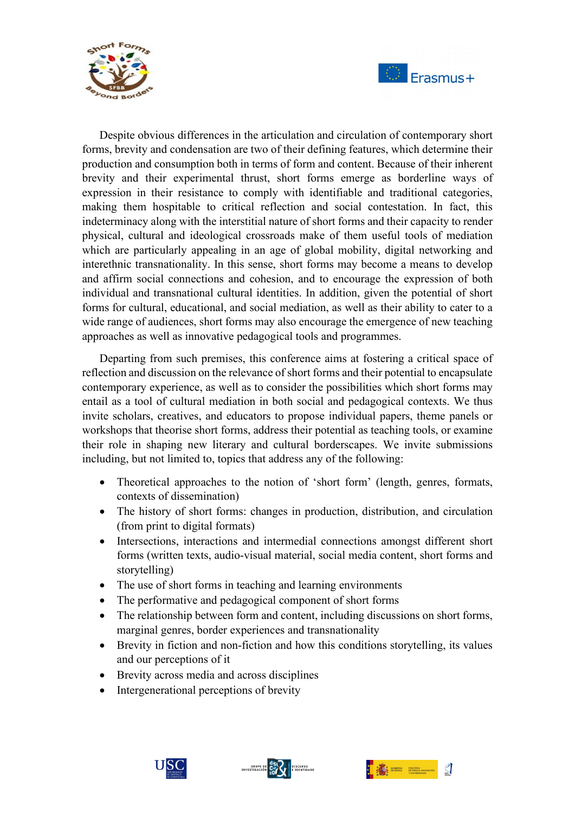



Despite obvious differences in the articulation and circulation of contemporary short forms, brevity and condensation are two of their defining features, which determine their production and consumption both in terms of form and content. Because of their inherent brevity and their experimental thrust, short forms emerge as borderline ways of expression in their resistance to comply with identifiable and traditional categories, making them hospitable to critical reflection and social contestation. In fact, this indeterminacy along with the interstitial nature of short forms and their capacity to render physical, cultural and ideological crossroads make of them useful tools of mediation which are particularly appealing in an age of global mobility, digital networking and interethnic transnationality. In this sense, short forms may become a means to develop and affirm social connections and cohesion, and to encourage the expression of both individual and transnational cultural identities. In addition, given the potential of short forms for cultural, educational, and social mediation, as well as their ability to cater to a wide range of audiences, short forms may also encourage the emergence of new teaching approaches as well as innovative pedagogical tools and programmes.

Departing from such premises, this conference aims at fostering a critical space of reflection and discussion on the relevance of short forms and their potential to encapsulate contemporary experience, as well as to consider the possibilities which short forms may entail as a tool of cultural mediation in both social and pedagogical contexts. We thus invite scholars, creatives, and educators to propose individual papers, theme panels or workshops that theorise short forms, address their potential as teaching tools, or examine their role in shaping new literary and cultural borderscapes. We invite submissions including, but not limited to, topics that address any of the following:

- Theoretical approaches to the notion of 'short form' (length, genres, formats, contexts of dissemination)
- The history of short forms: changes in production, distribution, and circulation (from print to digital formats)
- Intersections, interactions and intermedial connections amongst different short forms (written texts, audio-visual material, social media content, short forms and storytelling)
- The use of short forms in teaching and learning environments
- The performative and pedagogical component of short forms
- The relationship between form and content, including discussions on short forms, marginal genres, border experiences and transnationality
- Brevity in fiction and non-fiction and how this conditions storytelling, its values and our perceptions of it
- Brevity across media and across disciplines
- Intergenerational perceptions of brevity